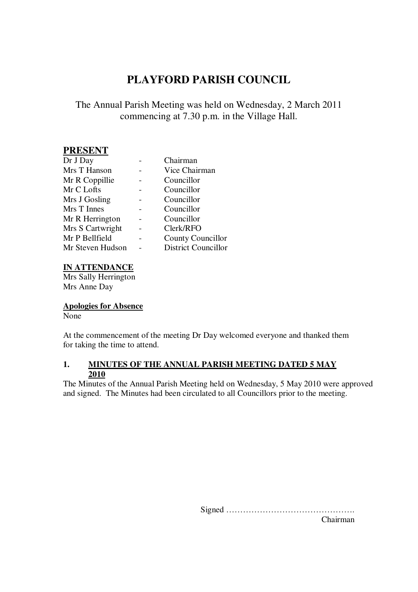# **PLAYFORD PARISH COUNCIL**

# The Annual Parish Meeting was held on Wednesday, 2 March 2011 commencing at 7.30 p.m. in the Village Hall.

# **PRESENT**

| Dr J Day         | Chairman                   |
|------------------|----------------------------|
| Mrs T Hanson     | Vice Chairman              |
| Mr R Coppillie   | Councillor                 |
| Mr C Lofts       | Councillor                 |
| Mrs J Gosling    | Councillor                 |
| Mrs T Innes      | Councillor                 |
| Mr R Herrington  | Councillor                 |
| Mrs S Cartwright | Clerk/RFO                  |
| Mr P Bellfield   | <b>County Councillor</b>   |
| Mr Steven Hudson | <b>District Councillor</b> |

#### **IN ATTENDANCE**

Mrs Sally Herrington Mrs Anne Day

## **Apologies for Absence**

None

At the commencement of the meeting Dr Day welcomed everyone and thanked them for taking the time to attend.

#### **1. MINUTES OF THE ANNUAL PARISH MEETING DATED 5 MAY 2010**

The Minutes of the Annual Parish Meeting held on Wednesday, 5 May 2010 were approved and signed. The Minutes had been circulated to all Councillors prior to the meeting.

Signed ……………………………………….

Chairman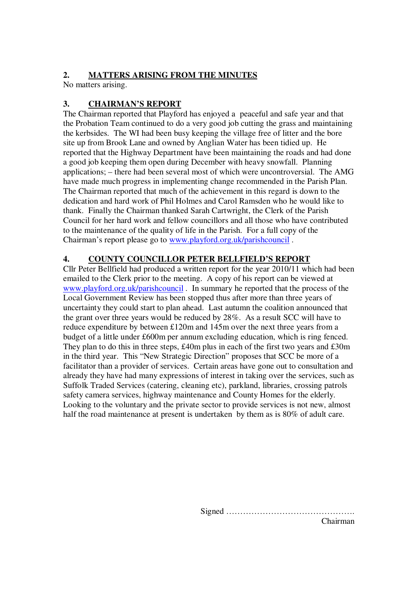## **2. MATTERS ARISING FROM THE MINUTES**

No matters arising.

# **3. CHAIRMAN'S REPORT**

The Chairman reported that Playford has enjoyed a peaceful and safe year and that the Probation Team continued to do a very good job cutting the grass and maintaining the kerbsides. The WI had been busy keeping the village free of litter and the bore site up from Brook Lane and owned by Anglian Water has been tidied up. He reported that the Highway Department have been maintaining the roads and had done a good job keeping them open during December with heavy snowfall. Planning applications; – there had been several most of which were uncontroversial. The AMG have made much progress in implementing change recommended in the Parish Plan. The Chairman reported that much of the achievement in this regard is down to the dedication and hard work of Phil Holmes and Carol Ramsden who he would like to thank. Finally the Chairman thanked Sarah Cartwright, the Clerk of the Parish Council for her hard work and fellow councillors and all those who have contributed to the maintenance of the quality of life in the Parish. For a full copy of the Chairman's report please go to www.playford.org.uk/parishcouncil .

# **4. COUNTY COUNCILLOR PETER BELLFIELD'S REPORT**

Cllr Peter Bellfield had produced a written report for the year 2010/11 which had been emailed to the Clerk prior to the meeting. A copy of his report can be viewed at www.playford.org.uk/parishcouncil . In summary he reported that the process of the Local Government Review has been stopped thus after more than three years of uncertainty they could start to plan ahead. Last autumn the coalition announced that the grant over three years would be reduced by 28%. As a result SCC will have to reduce expenditure by between £120m and 145m over the next three years from a budget of a little under £600m per annum excluding education, which is ring fenced. They plan to do this in three steps, £40m plus in each of the first two years and £30m in the third year. This "New Strategic Direction" proposes that SCC be more of a facilitator than a provider of services. Certain areas have gone out to consultation and already they have had many expressions of interest in taking over the services, such as Suffolk Traded Services (catering, cleaning etc), parkland, libraries, crossing patrols safety camera services, highway maintenance and County Homes for the elderly. Looking to the voluntary and the private sector to provide services is not new, almost half the road maintenance at present is undertaken by them as is 80% of adult care.

Signed ……………………………………….

Chairman